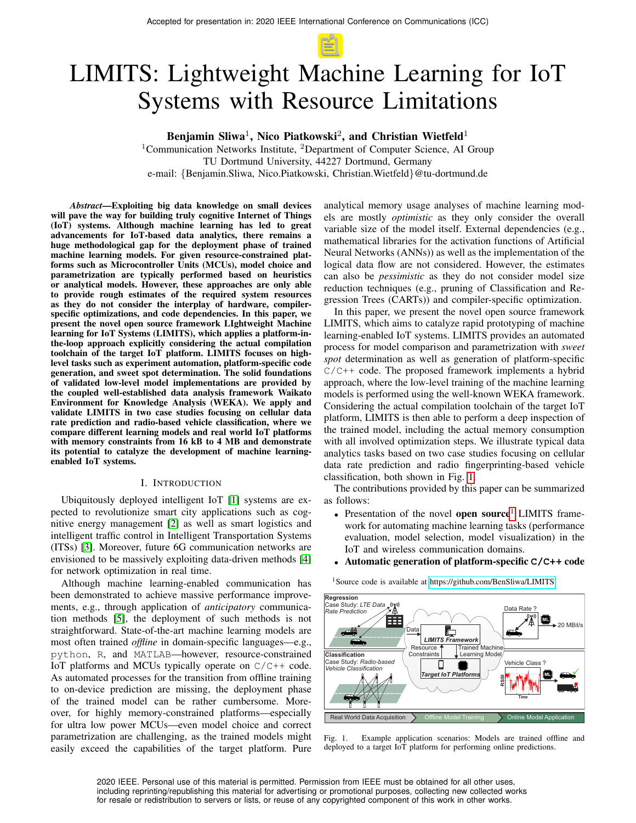# LIMITS: Lightweight Machine Learning for IoT Systems with Resource Limitations

Benjamin Sliwa<sup>1</sup>, Nico Piatkowski<sup>2</sup>, and Christian Wietfeld<sup>1</sup>

<sup>1</sup>Communication Networks Institute,  ${}^{2}$ Department of Computer Science, AI Group TU Dortmund University, 44227 Dortmund, Germany e-mail: {Benjamin.Sliwa, Nico.Piatkowski, Christian.Wietfeld}@tu-dortmund.de

*Abstract*—Exploiting big data knowledge on small devices will pave the way for building truly cognitive Internet of Things (IoT) systems. Although machine learning has led to great advancements for IoT-based data analytics, there remains a huge methodological gap for the deployment phase of trained machine learning models. For given resource-constrained platforms such as Microcontroller Units (MCUs), model choice and parametrization are typically performed based on heuristics or analytical models. However, these approaches are only able to provide rough estimates of the required system resources as they do not consider the interplay of hardware, compilerspecific optimizations, and code dependencies. In this paper, we present the novel open source framework LIghtweight Machine learning for IoT Systems (LIMITS), which applies a platform-inthe-loop approach explicitly considering the actual compilation toolchain of the target IoT platform. LIMITS focuses on highlevel tasks such as experiment automation, platform-specific code generation, and sweet spot determination. The solid foundations of validated low-level model implementations are provided by the coupled well-established data analysis framework Waikato Environment for Knowledge Analysis (WEKA). We apply and validate LIMITS in two case studies focusing on cellular data rate prediction and radio-based vehicle classification, where we compare different learning models and real world IoT platforms with memory constraints from 16 kB to 4 MB and demonstrate its potential to catalyze the development of machine learningenabled IoT systems.

#### I. INTRODUCTION

Ubiquitously deployed intelligent IoT [\[1\]](#page-6-0) systems are expected to revolutionize smart city applications such as cognitive energy management [\[2\]](#page-6-1) as well as smart logistics and intelligent traffic control in Intelligent Transportation Systems (ITSs) [\[3\]](#page-6-2). Moreover, future 6G communication networks are envisioned to be massively exploiting data-driven methods [\[4\]](#page-6-3) for network optimization in real time.

Although machine learning-enabled communication has been demonstrated to achieve massive performance improvements, e.g., through application of *anticipatory* communication methods [\[5\]](#page-6-4), the deployment of such methods is not straightforward. State-of-the-art machine learning models are most often trained *offline* in domain-specific languages—e.g., python, R, and MATLAB—however, resource-constrained IoT platforms and MCUs typically operate on  $C/C++$  code. As automated processes for the transition from offline training to on-device prediction are missing, the deployment phase of the trained model can be rather cumbersome. Moreover, for highly memory-constrained platforms—especially for ultra low power MCUs—even model choice and correct parametrization are challenging, as the trained models might easily exceed the capabilities of the target platform. Pure

analytical memory usage analyses of machine learning models are mostly *optimistic* as they only consider the overall variable size of the model itself. External dependencies (e.g., mathematical libraries for the activation functions of Artificial Neural Networks (ANNs)) as well as the implementation of the logical data flow are not considered. However, the estimates can also be *pessimistic* as they do not consider model size reduction techniques (e.g., pruning of Classification and Regression Trees (CARTs)) and compiler-specific optimization.

In this paper, we present the novel open source framework LIMITS, which aims to catalyze rapid prototyping of machine learning-enabled IoT systems. LIMITS provides an automated process for model comparison and parametrization with *sweet spot* determination as well as generation of platform-specific  $C/C++$  code. The proposed framework implements a hybrid approach, where the low-level training of the machine learning models is performed using the well-known WEKA framework. Considering the actual compilation toolchain of the target IoT platform, LIMITS is then able to perform a deep inspection of the trained model, including the actual memory consumption with all involved optimization steps. We illustrate typical data analytics tasks based on two case studies focusing on cellular data rate prediction and radio fingerprinting-based vehicle classification, both shown in Fig. [1.](#page-0-0)

The contributions provided by this paper can be summarized as follows:

- Presentation of the novel open source<sup>[1](#page-0-1)</sup> LIMITS framework for automating machine learning tasks (performance evaluation, model selection, model visualization) in the IoT and wireless communication domains.
- Automatic generation of platform-specific **C/C++** code

<span id="page-0-1"></span><sup>1</sup>Source code is available at<https://github.com/BenSliwa/LIMITS>



<span id="page-0-0"></span>Fig. 1. Example application scenarios: Models are trained offline and deployed to a target IoT platform for performing online predictions.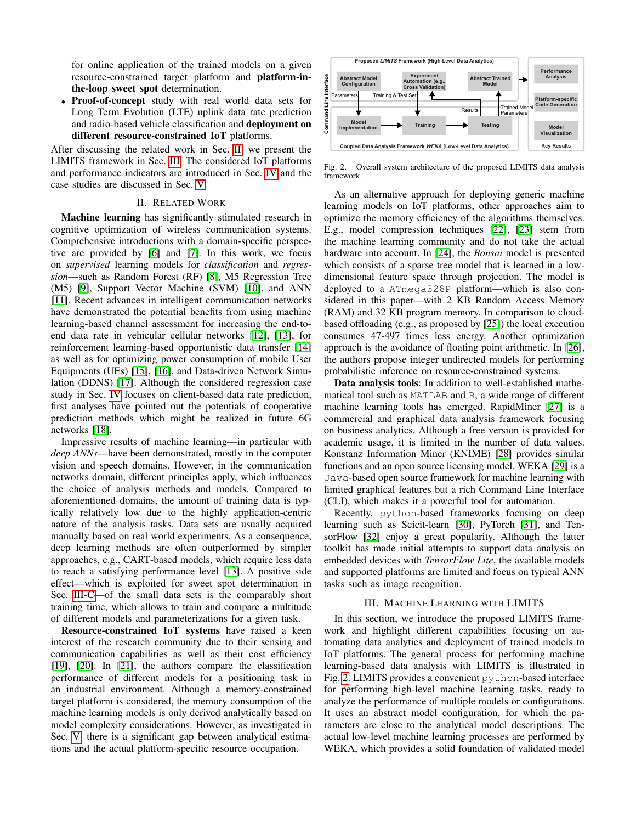for online application of the trained models on a given resource-constrained target platform and platform-inthe-loop sweet spot determination.

• Proof-of-concept study with real world data sets for Long Term Evolution (LTE) uplink data rate prediction and radio-based vehicle classification and deployment on different resource-constrained IoT platforms.

After discussing the related work in Sec. [II,](#page-1-0) we present the LIMITS framework in Sec. [III.](#page-1-1) The considered IoT platforms and performance indicators are introduced in Sec. [IV](#page-3-0) and the case studies are discussed in Sec. [V.](#page-4-0)

#### II. RELATED WORK

<span id="page-1-0"></span>Machine learning has significantly stimulated research in cognitive optimization of wireless communication systems. Comprehensive introductions with a domain-specific perspective are provided by [\[6\]](#page-6-5) and [\[7\]](#page-6-6). In this work, we focus on *supervised* learning models for *classification* and *regression*—such as Random Forest (RF) [\[8\]](#page-6-7), M5 Regression Tree (M5) [\[9\]](#page-6-8), Support Vector Machine (SVM) [\[10\]](#page-6-9), and ANN [\[11\]](#page-6-10). Recent advances in intelligent communication networks have demonstrated the potential benefits from using machine learning-based channel assessment for increasing the end-toend data rate in vehicular cellular networks [\[12\]](#page-6-11), [\[13\]](#page-6-12), for reinforcement learning-based opportunistic data transfer [\[14\]](#page-6-13) as well as for optimizing power consumption of mobile User Equipments (UEs) [\[15\]](#page-6-14), [\[16\]](#page-6-15), and Data-driven Network Simulation (DDNS) [\[17\]](#page-6-16). Although the considered regression case study in Sec. [IV](#page-3-0) focuses on client-based data rate prediction, first analyses have pointed out the potentials of cooperative prediction methods which might be realized in future 6G networks [\[18\]](#page-6-17).

Impressive results of machine learning—in particular with *deep ANNs*—have been demonstrated, mostly in the computer vision and speech domains. However, in the communication networks domain, different principles apply, which influences the choice of analysis methods and models. Compared to aforementioned domains, the amount of training data is typically relatively low due to the highly application-centric nature of the analysis tasks. Data sets are usually acquired manually based on real world experiments. As a consequence, deep learning methods are often outperformed by simpler approaches, e.g., CART-based models, which require less data to reach a satisfying performance level [\[13\]](#page-6-12). A positive side effect—which is exploited for sweet spot determination in Sec. [III-C—](#page-3-1)of the small data sets is the comparably short training time, which allows to train and compare a multitude of different models and parameterizations for a given task.

Resource-constrained IoT systems have raised a keen interest of the research community due to their sensing and communication capabilities as well as their cost efficiency [\[19\]](#page-6-18), [\[20\]](#page-6-19). In [\[21\]](#page-6-20), the authors compare the classification performance of different models for a positioning task in an industrial environment. Although a memory-constrained target platform is considered, the memory consumption of the machine learning models is only derived analytically based on model complexity considerations. However, as investigated in Sec. [V,](#page-4-0) there is a significant gap between analytical estimations and the actual platform-specific resource occupation.



<span id="page-1-2"></span>Fig. 2. Overall system architecture of the proposed LIMITS data analysis framework.

As an alternative approach for deploying generic machine learning models on IoT platforms, other approaches aim to optimize the memory efficiency of the algorithms themselves. E.g., model compression techniques [\[22\]](#page-6-21), [\[23\]](#page-6-22) stem from the machine learning community and do not take the actual hardware into account. In [\[24\]](#page-6-23), the *Bonsai* model is presented which consists of a sparse tree model that is learned in a lowdimensional feature space through projection. The model is deployed to a ATmega328P platform—which is also considered in this paper—with 2 KB Random Access Memory (RAM) and 32 KB program memory. In comparison to cloudbased offloading (e.g., as proposed by [\[25\]](#page-6-24)) the local execution consumes 47-497 times less energy. Another optimization approach is the avoidance of floating point arithmetic. In [\[26\]](#page-6-25), the authors propose integer undirected models for performing probabilistic inference on resource-constrained systems.

Data analysis tools: In addition to well-established mathematical tool such as MATLAB and R, a wide range of different machine learning tools has emerged. RapidMiner [\[27\]](#page-6-26) is a commercial and graphical data analysis framework focusing on business analytics. Although a free version is provided for academic usage, it is limited in the number of data values. Konstanz Information Miner (KNIME) [\[28\]](#page-6-27) provides similar functions and an open source licensing model. WEKA [\[29\]](#page-6-28) is a Java-based open source framework for machine learning with limited graphical features but a rich Command Line Interface (CLI), which makes it a powerful tool for automation.

Recently, python-based frameworks focusing on deep learning such as Scicit-learn [\[30\]](#page-6-29), PyTorch [\[31\]](#page-6-30), and TensorFlow [\[32\]](#page-6-31) enjoy a great popularity. Although the latter toolkit has made initial attempts to support data analysis on embedded devices with *TensorFlow Lite*, the available models and supported platforms are limited and focus on typical ANN tasks such as image recognition.

# III. MACHINE LEARNING WITH LIMITS

<span id="page-1-1"></span>In this section, we introduce the proposed LIMITS framework and highlight different capabilities focusing on automating data analytics and deployment of trained models to IoT platforms. The general process for performing machine learning-based data analysis with LIMITS is illustrated in Fig. [2.](#page-1-2) LIMITS provides a convenient python-based interface for performing high-level machine learning tasks, ready to analyze the performance of multiple models or configurations. It uses an abstract model configuration, for which the parameters are close to the analytical model descriptions. The actual low-level machine learning processes are performed by WEKA, which provides a solid foundation of validated model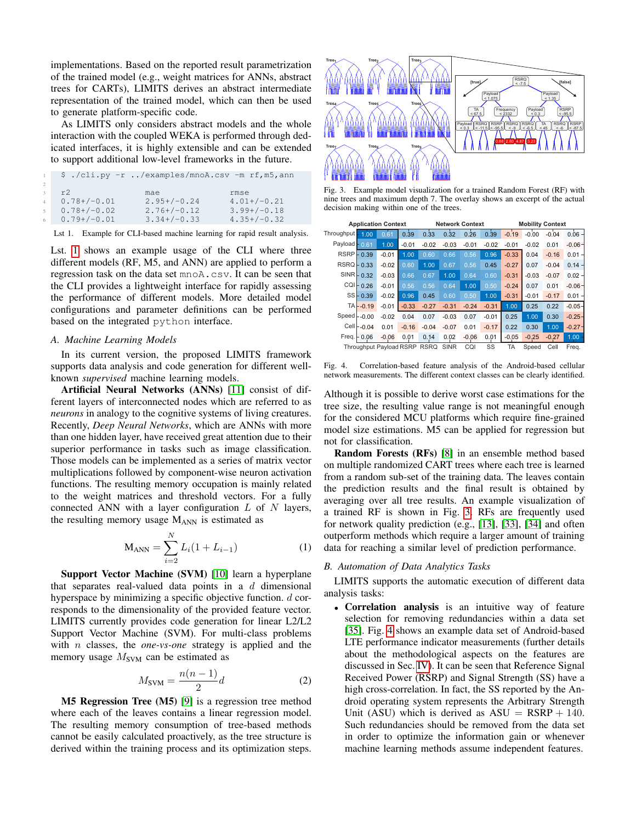implementations. Based on the reported result parametrization of the trained model (e.g., weight matrices for ANNs, abstract trees for CARTs), LIMITS derives an abstract intermediate representation of the trained model, which can then be used to generate platform-specific code.

As LIMITS only considers abstract models and the whole interaction with the coupled WEKA is performed through dedicated interfaces, it is highly extensible and can be extended to support additional low-level frameworks in the future.

<span id="page-2-0"></span>

|    |               |               | \$ ./cli.py -r /examples/mnoA.csv -m rf,m5,ann |
|----|---------------|---------------|------------------------------------------------|
|    |               |               |                                                |
|    | r2            | mae           | rmse                                           |
|    | $0.78+/-0.01$ | $2.95+/0.24$  | $4.01+/-0.21$                                  |
| 5. | $0.78+/-0.02$ | $2.76+/-0.12$ | $3.99+/-0.18$                                  |
| 6. | $0.79+/-0.01$ | $3.34+/-0.33$ | $4.35+/-0.32$                                  |

Lst 1. Example for CLI-based machine learning for rapid result analysis.

Lst. [1](#page-2-0) shows an example usage of the CLI where three different models (RF, M5, and ANN) are applied to perform a regression task on the data set mnoA.csv. It can be seen that the CLI provides a lightweight interface for rapidly assessing the performance of different models. More detailed model configurations and parameter definitions can be performed based on the integrated python interface.

#### *A. Machine Learning Models*

In its current version, the proposed LIMITS framework supports data analysis and code generation for different wellknown *supervised* machine learning models.

Artificial Neural Networks (ANNs) [\[11\]](#page-6-10) consist of different layers of interconnected nodes which are referred to as *neurons* in analogy to the cognitive systems of living creatures. Recently, *Deep Neural Networks*, which are ANNs with more than one hidden layer, have received great attention due to their superior performance in tasks such as image classification. Those models can be implemented as a series of matrix vector multiplications followed by component-wise neuron activation functions. The resulting memory occupation is mainly related to the weight matrices and threshold vectors. For a fully connected ANN with a layer configuration  $L$  of  $N$  layers, the resulting memory usage MANN is estimated as

$$
M_{ANN} = \sum_{i=2}^{N} L_i (1 + L_{i-1})
$$
 (1)

Support Vector Machine (SVM) [\[10\]](#page-6-9) learn a hyperplane that separates real-valued data points in a  $d$  dimensional hyperspace by minimizing a specific objective function.  $d$  corresponds to the dimensionality of the provided feature vector. LIMITS currently provides code generation for linear L2/L2 Support Vector Machine (SVM). For multi-class problems with n classes, the *one-vs-one* strategy is applied and the memory usage  $M_{\text{SVM}}$  can be estimated as

$$
M_{\text{SVM}} = \frac{n(n-1)}{2}d\tag{2}
$$

M5 Regression Tree (M5) [\[9\]](#page-6-8) is a regression tree method where each of the leaves contains a linear regression model. The resulting memory consumption of tree-based methods cannot be easily calculated proactively, as the tree structure is derived within the training process and its optimization steps.



RSRP  $< -87.5$ 

<span id="page-2-1"></span>Fig. 3. Example model visualization for a trained Random Forest (RF) with nine trees and maximum depth 7. The overlay shows an excerpt of the actual decision making within one of the trees.

| <b>Application Context</b>                                                               |                 |         |         | <b>Network Context</b> |         |         |         | <b>Mobility Context</b> |         |         |                   |
|------------------------------------------------------------------------------------------|-----------------|---------|---------|------------------------|---------|---------|---------|-------------------------|---------|---------|-------------------|
| Throughput - 1.00                                                                        |                 | 0.61    | 0.39    | 0.33                   | 0.32    | 0.26    | 0.39    | $-0.19$                 | $-0.00$ | $-0.04$ | $0.06 -$          |
| Payload - 0.61                                                                           |                 | 1.00    | $-0.01$ | $-0.02$                | $-0.03$ | $-0.01$ | $-0.02$ | $-0.01$                 | $-0.02$ | 0.01    | $-0.06 -$         |
| <b>RSRP</b>                                                                              | 0.39<br>÷       | $-0.01$ | 1.00    | 0.60                   | 0.66    | 0.56    | 0.96    | $-0.33$                 | 0.04    | $-0.16$ | 0.01              |
| RSRQ                                                                                     | 0.33            | $-0.02$ | 0.60    | 1.00                   | 0.67    | 0.56    | 0.45    | $-0.27$                 | 0.07    | $-0.04$ | 0.14              |
|                                                                                          | $SINR$ $- 0.32$ | $-0.03$ | 0.66    | 0.67                   | 1.00    | 0.64    | 0.60    | $-0.31$                 | $-0.03$ | $-0.07$ | 0.02              |
|                                                                                          | $CQI - 0.26$    | $-0.01$ | 0.56    | 0.56                   | 0.64    | 1.00    | 0.50    | $-0.24$                 | 0.07    | 0.01    | $-0.06 -$         |
| SSF                                                                                      | 0.39            | $-0.02$ | 0.96    | 0.45                   | 0.60    | 0.50    | 1.00    | $-0.31$                 | $-0.01$ | $-0.17$ | $0.01 -$          |
|                                                                                          | $TA - 0.19$     | $-0.01$ | $-0.33$ | $-0.27$                | $-0.31$ | $-0.24$ | $-0.31$ | 1.00                    | 0.25    | 0.22    | $-0.05 -$         |
| $Speed$ $\vdash$ -0.00                                                                   |                 | $-0.02$ | 0.04    | 0.07                   | $-0.03$ | 0.07    | $-0.01$ | 0.25                    | 1.00    | 0.30    | $-0.25 -$         |
|                                                                                          | Cell $-0.04$    | 0.01    | $-0.16$ | $-0.04$                | $-0.07$ | 0.01    | $-0.17$ | 0.22                    | 0.30    | 1.00    | $-0.27 -$         |
|                                                                                          | $Freq - 0.06$   | $-0.06$ | 0.01    | 0.14                   | 0.02    | $-0.06$ | 0.01    | $-0.05$                 | $-0.25$ | $-0.27$ | 1.00 <sub>1</sub> |
| SS<br>TA<br>CQI<br><b>Throughput Pavload RSRP</b><br><b>RSRQ</b><br><b>SINR</b><br>Speed |                 |         |         |                        |         |         | Cell    | Freg.                   |         |         |                   |

<span id="page-2-2"></span>Fig. 4. Correlation-based feature analysis of the Android-based cellular network measurements. The different context classes can be clearly identified.

Although it is possible to derive worst case estimations for the tree size, the resulting value range is not meaningful enough for the considered MCU platforms which require fine-grained model size estimations. M5 can be applied for regression but not for classification.

Random Forests (RFs) [\[8\]](#page-6-7) in an ensemble method based on multiple randomized CART trees where each tree is learned from a random sub-set of the training data. The leaves contain the prediction results and the final result is obtained by averaging over all tree results. An example visualization of a trained RF is shown in Fig. [3.](#page-2-1) RFs are frequently used for network quality prediction (e.g., [\[13\]](#page-6-12), [\[33\]](#page-6-32), [\[34\]](#page-6-33) and often outperform methods which require a larger amount of training data for reaching a similar level of prediction performance.

## <span id="page-2-3"></span>*B. Automation of Data Analytics Tasks*

LIMITS supports the automatic execution of different data analysis tasks:

• Correlation analysis is an intuitive way of feature selection for removing redundancies within a data set [\[35\]](#page-6-34). Fig. [4](#page-2-2) shows an example data set of Android-based LTE performance indicator measurements (further details about the methodological aspects on the features are discussed in Sec. [IV\)](#page-3-0). It can be seen that Reference Signal Received Power (RSRP) and Signal Strength (SS) have a high cross-correlation. In fact, the SS reported by the Android operating system represents the Arbitrary Strength Unit (ASU) which is derived as  $ASU = RSRP + 140$ . Such redundancies should be removed from the data set in order to optimize the information gain or whenever machine learning methods assume independent features.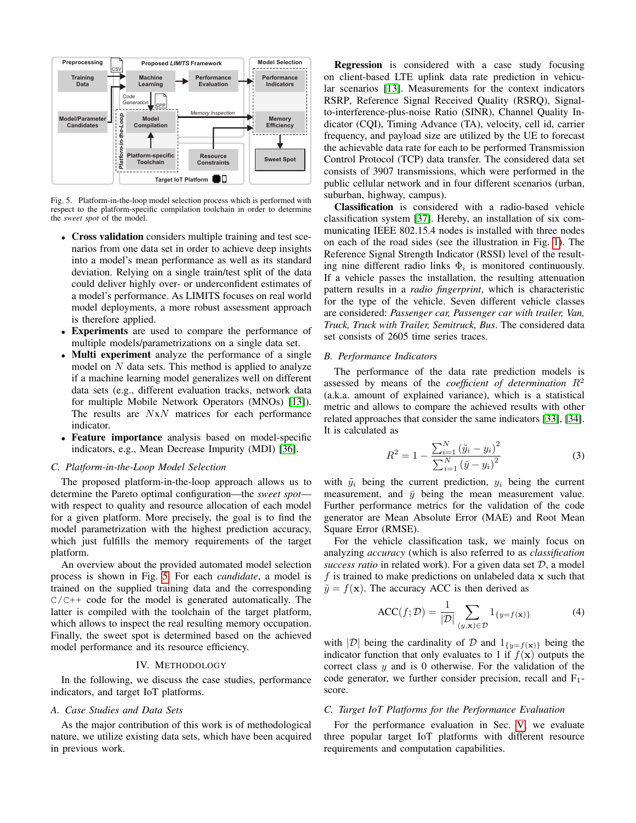

<span id="page-3-2"></span>Fig. 5. Platform-in-the-loop model selection process which is performed with respect to the platform-specific compilation toolchain in order to determine the *sweet spot* of the model.

- Cross validation considers multiple training and test scenarios from one data set in order to achieve deep insights into a model's mean performance as well as its standard deviation. Relying on a single train/test split of the data could deliver highly over- or underconfident estimates of a model's performance. As LIMITS focuses on real world model deployments, a more robust assessment approach is therefore applied.
- Experiments are used to compare the performance of multiple models/parametrizations on a single data set.
- Multi experiment analyze the performance of a single model on  $N$  data sets. This method is applied to analyze if a machine learning model generalizes well on different data sets (e.g., different evaluation tracks, network data for multiple Mobile Network Operators (MNOs) [\[13\]](#page-6-12)). The results are  $NxN$  matrices for each performance indicator.
- Feature importance analysis based on model-specific indicators, e.g., Mean Decrease Impurity (MDI) [\[36\]](#page-6-35).

## <span id="page-3-1"></span>*C. Platform-in-the-Loop Model Selection*

The proposed platform-in-the-loop approach allows us to determine the Pareto optimal configuration—the *sweet spot* with respect to quality and resource allocation of each model for a given platform. More precisely, the goal is to find the model parametrization with the highest prediction accuracy, which just fulfills the memory requirements of the target platform.

An overview about the provided automated model selection process is shown in Fig. [5.](#page-3-2) For each *candidate*, a model is trained on the supplied training data and the corresponding  $C/C++$  code for the model is generated automatically. The latter is compiled with the toolchain of the target platform, which allows to inspect the real resulting memory occupation. Finally, the sweet spot is determined based on the achieved model performance and its resource efficiency.

#### IV. METHODOLOGY

<span id="page-3-0"></span>In the following, we discuss the case studies, performance indicators, and target IoT platforms.

## *A. Case Studies and Data Sets*

As the major contribution of this work is of methodological nature, we utilize existing data sets, which have been acquired in previous work.

Regression is considered with a case study focusing on client-based LTE uplink data rate prediction in vehicular scenarios [\[13\]](#page-6-12). Measurements for the context indicators RSRP, Reference Signal Received Quality (RSRQ), Signalto-interference-plus-noise Ratio (SINR), Channel Quality Indicator (CQI), Timing Advance (TA), velocity, cell id, carrier frequency, and payload size are utilized by the UE to forecast the achievable data rate for each to be performed Transmission Control Protocol (TCP) data transfer. The considered data set consists of 3907 transmissions, which were performed in the public cellular network and in four different scenarios (urban, suburban, highway, campus).

Classification is considered with a radio-based vehicle classification system [\[37\]](#page-6-36). Hereby, an installation of six communicating IEEE 802.15.4 nodes is installed with three nodes on each of the road sides (see the illustration in Fig. [1\)](#page-0-0). The Reference Signal Strength Indicator (RSSI) level of the resulting nine different radio links  $\Phi_i$  is monitored continuously. If a vehicle passes the installation, the resulting attenuation pattern results in a *radio fingerprint*, which is characteristic for the type of the vehicle. Seven different vehicle classes are considered: *Passenger car, Passenger car with trailer, Van, Truck, Truck with Trailer, Semitruck, Bus*. The considered data set consists of 2605 time series traces.

## *B. Performance Indicators*

The performance of the data rate prediction models is assessed by means of the *coefficient of determination*  $R^2$ (a.k.a. amount of explained variance), which is a statistical metric and allows to compare the achieved results with other related approaches that consider the same indicators [\[33\]](#page-6-32), [\[34\]](#page-6-33). It is calculated as

$$
R^{2} = 1 - \frac{\sum_{i=1}^{N} (\tilde{y}_{i} - y_{i})^{2}}{\sum_{i=1}^{N} (\bar{y} - y_{i})^{2}}
$$
(3)

with  $\tilde{y}_i$  being the current prediction,  $y_i$  being the current measurement, and  $\bar{y}$  being the mean measurement value. Further performance metrics for the validation of the code generator are Mean Absolute Error (MAE) and Root Mean Square Error (RMSE).

For the vehicle classification task, we mainly focus on analyzing *accuracy* (which is also referred to as *classification success ratio* in related work). For a given data set D, a model  $f$  is trained to make predictions on unlabeled data  $x$  such that  $\tilde{y} = f(\mathbf{x})$ . The accuracy ACC is then derived as

$$
\text{ACC}(f; \mathcal{D}) = \frac{1}{|\mathcal{D}|} \sum_{(y, \mathbf{x}) \in \mathcal{D}} 1_{\{y = f(\mathbf{x})\}} \tag{4}
$$

with  $|\mathcal{D}|$  being the cardinality of D and  $1_{\{y=f(\mathbf{x})\}}$  being the indicator function that only evaluates to 1 if  $f(\mathbf{x})$  outputs the correct class  $y$  and is 0 otherwise. For the validation of the code generator, we further consider precision, recall and  $F_1$ score.

#### *C. Target IoT Platforms for the Performance Evaluation*

For the performance evaluation in Sec. [V,](#page-4-0) we evaluate three popular target IoT platforms with different resource requirements and computation capabilities.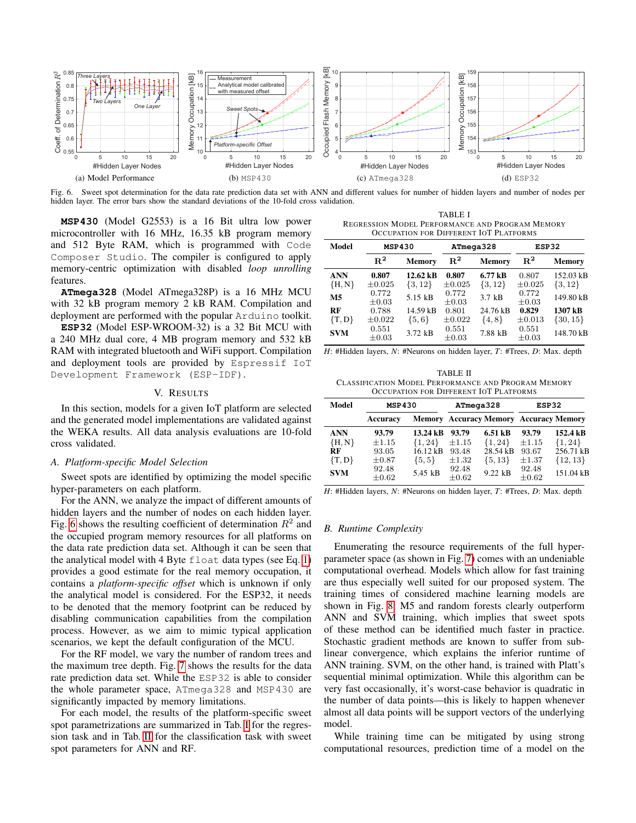

<span id="page-4-1"></span>Fig. 6. Sweet spot determination for the data rate prediction data set with ANN and different values for number of hidden layers and number of nodes per hidden layer. The error bars show the standard deviations of the 10-fold cross validation.

**MSP430** (Model G2553) is a 16 Bit ultra low power microcontroller with 16 MHz, 16.35 kB program memory and 512 Byte RAM, which is programmed with Code Composer Studio. The compiler is configured to apply memory-centric optimization with disabled *loop unrolling* features.

**ATmega328** (Model ATmega328P) is a 16 MHz MCU with 32 kB program memory 2 kB RAM. Compilation and deployment are performed with the popular Arduino toolkit.

**ESP32** (Model ESP-WROOM-32) is a 32 Bit MCU with a 240 MHz dual core, 4 MB program memory and 532 kB RAM with integrated bluetooth and WiFi support. Compilation and deployment tools are provided by Espressif IoT Development Framework (ESP-IDF).

# V. RESULTS

<span id="page-4-0"></span>In this section, models for a given IoT platform are selected and the generated model implementations are validated against the WEKA results. All data analysis evaluations are 10-fold cross validated.

#### *A. Platform-specific Model Selection*

Sweet spots are identified by optimizing the model specific hyper-parameters on each platform.

For the ANN, we analyze the impact of different amounts of hidden layers and the number of nodes on each hidden layer. Fig. [6](#page-4-1) shows the resulting coefficient of determination  $R^2$  and the occupied program memory resources for all platforms on the data rate prediction data set. Although it can be seen that the analytical model with 4 Byte float data types (see Eq. [1\)](#page-2-3) provides a good estimate for the real memory occupation, it contains a *platform-specific offset* which is unknown if only the analytical model is considered. For the ESP32, it needs to be denoted that the memory footprint can be reduced by disabling communication capabilities from the compilation process. However, as we aim to mimic typical application scenarios, we kept the default configuration of the MCU.

For the RF model, we vary the number of random trees and the maximum tree depth. Fig. [7](#page-5-0) shows the results for the data rate prediction data set. While the ESP32 is able to consider the whole parameter space, ATmega328 and MSP430 are significantly impacted by memory limitations.

For each model, the results of the platform-specific sweet spot parametrizations are summarized in Tab. [I](#page-4-2) for the regression task and in Tab. [II](#page-4-3) for the classification task with sweet spot parameters for ANN and RF.

<span id="page-4-2"></span>TABLE I REGRESSION MODEL PERFORMANCE AND PROGRAM MEMORY OCCUPATION FOR DIFFERENT IOT PLATFORMS

| Model          | <b>MSP430</b>                   |             | ATmega328           |             | ESP32               |               |  |
|----------------|---------------------------------|-------------|---------------------|-------------|---------------------|---------------|--|
|                | $\mathbf{R}^2$<br><b>Memory</b> |             | $\mathbf{R}^2$      | Memory      | $\mathbf{R}^2$      | <b>Memory</b> |  |
| <b>ANN</b>     | 0.807                           | 12.62 kB    | 0.807               | $6.77$ kB   | 0.807               | 152.03 kB     |  |
| ${H, N}$       | $\pm 0.025$                     | $\{3, 12\}$ | $\pm 0.025$         | $\{3, 12\}$ | $\pm 0.025$         | $\{3, 12\}$   |  |
| M <sub>5</sub> | 0.772<br>$\pm 0.03$             | 5.15 kB     | 0.772<br>$\pm 0.03$ | $3.7$ kB    | 0.772<br>$\pm 0.03$ | 149.80 kB     |  |
| <b>RF</b>      | 0.788                           | 14.59 kB    | 0.801               | 24.76 kB    | 0.829               | 1307 kB       |  |
| $\{T, D\}$     | $\pm 0.022$                     | $\{5,6\}$   | $\pm 0.022$         | $\{4, 8\}$  | $\pm 0.013$         | $\{30, 15\}$  |  |
| <b>SVM</b>     | 0.551<br>$\pm 0.03$             | 3.72 kB     | 0.551<br>$\pm 0.03$ | 7.88 kB     | 0.551<br>$\pm 0.03$ | 148.70 kB     |  |

*H*: #Hidden layers, *N*: #Neurons on hidden layer, *T*: #Trees, *D*: Max. depth

<span id="page-4-3"></span>TABLE II CLASSIFICATION MODEL PERFORMANCE AND PROGRAM MEMORY OCCUPATION FOR DIFFERENT IOT PLATFORMS

| Model                  | <b>MSP430</b>       |                                   | ATmega328           |                         | ESP32                                         |                          |  |
|------------------------|---------------------|-----------------------------------|---------------------|-------------------------|-----------------------------------------------|--------------------------|--|
|                        | Accuracy            |                                   |                     |                         | <b>Memory Accuracy Memory Accuracy Memory</b> |                          |  |
| <b>ANN</b><br>${H, N}$ | 93.79<br>$\pm 1.15$ | $13.24 \text{ kB}$<br>$\{1, 24\}$ | 93.79<br>$\pm 1.15$ | $6.51$ kB               | 93.79<br>$\pm 1.15$                           | 152.4 kB                 |  |
| RF                     | 93.05               | 16.12 kB                          | 93.48               | $\{1, 24\}$<br>28.54 kB | 93.67                                         | $\{1, 24\}$<br>256.71 kB |  |
| $\{T,D\}$              | $\pm 0.87$<br>92.48 | $\{5, 5\}$                        | $\pm 1.32$<br>92.48 | $\{5, 13\}$             | $\pm 1.37$<br>92.48                           | $\{12, 13\}$             |  |
| <b>SVM</b>             | $\pm 0.62$          | 5.45 kB                           | $\pm 0.62$          | 9.22 kB                 | $\pm 0.62$                                    | 151.04 kB                |  |

*H*: #Hidden layers, *N*: #Neurons on hidden layer, *T*: #Trees, *D*: Max. depth

#### *B. Runtime Complexity*

Enumerating the resource requirements of the full hyperparameter space (as shown in Fig. [7\)](#page-5-0) comes with an undeniable computational overhead. Models which allow for fast training are thus especially well suited for our proposed system. The training times of considered machine learning models are shown in Fig. [8:](#page-5-1) M5 and random forests clearly outperform ANN and SVM training, which implies that sweet spots of these method can be identified much faster in practice. Stochastic gradient methods are known to suffer from sublinear convergence, which explains the inferior runtime of ANN training. SVM, on the other hand, is trained with Platt's sequential minimal optimization. While this algorithm can be very fast occasionally, it's worst-case behavior is quadratic in the number of data points—this is likely to happen whenever almost all data points will be support vectors of the underlying model.

While training time can be mitigated by using strong computational resources, prediction time of a model on the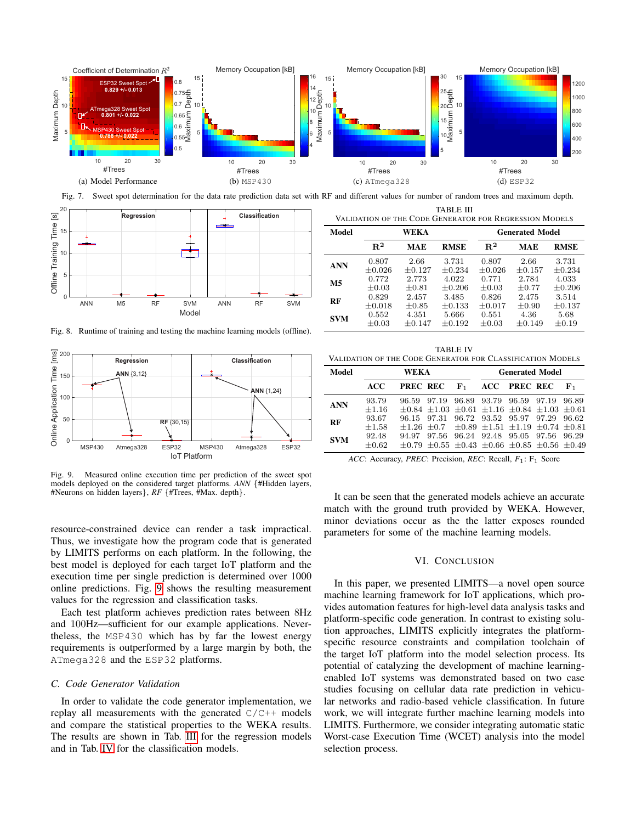

<span id="page-5-0"></span>Fig. 7. Sweet spot determination for the data rate prediction data set with RF and different values for number of random trees and maximum depth.



<span id="page-5-1"></span>Fig. 8. Runtime of training and testing the machine learning models (offline).



<span id="page-5-2"></span>Fig. 9. Measured online execution time per prediction of the sweet spot models deployed on the considered target platforms. *ANN* {#Hidden layers, #Neurons on hidden layers}, *RF* {#Trees, #Max. depth}.

resource-constrained device can render a task impractical. Thus, we investigate how the program code that is generated by LIMITS performs on each platform. In the following, the best model is deployed for each target IoT platform and the execution time per single prediction is determined over 1000 online predictions. Fig. [9](#page-5-2) shows the resulting measurement values for the regression and classification tasks.

Each test platform achieves prediction rates between 8Hz and 100Hz—sufficient for our example applications. Nevertheless, the MSP430 which has by far the lowest energy requirements is outperformed by a large margin by both, the ATmega328 and the ESP32 platforms.

# *C. Code Generator Validation*

In order to validate the code generator implementation, we replay all measurements with the generated  $C/C++$  models and compare the statistical properties to the WEKA results. The results are shown in Tab. [III](#page-5-3) for the regression models and in Tab. [IV](#page-5-4) for the classification models.

<span id="page-5-3"></span>

| VALIDATION OF THE CODE GENERATOR FOR REGRESSION MODELS |                      |                  |                   |                        |                  |                      |  |  |  |
|--------------------------------------------------------|----------------------|------------------|-------------------|------------------------|------------------|----------------------|--|--|--|
| Model                                                  |                      | WEKA             |                   | <b>Generated Model</b> |                  |                      |  |  |  |
|                                                        | $R^2$                | <b>MAE</b>       | <b>RMSE</b>       | $R^2$                  | MAE              | <b>RMSE</b>          |  |  |  |
| <b>ANN</b>                                             | 0.807<br>$\pm 0.026$ | 2.66<br>$+0.127$ | 3.731<br>$+0.234$ | 0.807<br>$\pm 0.026$   | 2.66<br>$+0.157$ | 3.731<br>$\pm 0.234$ |  |  |  |
| M <sub>5</sub>                                         | 0.772<br>$\pm 0.03$  | 2.773<br>$+0.81$ | 4.022<br>$+0.206$ | 0.771<br>$\pm 0.03$    | 2.784<br>$+0.77$ | 4.033<br>$\pm 0.206$ |  |  |  |
| $\mathbf{r}$                                           | 0.829                | 2.457            | 3.485             | 0.826                  | 2.475            | 3.514                |  |  |  |

**RF**  $\begin{matrix} 0.829 & 2.457 & 3.485 & 0.826 & 2.475 & 3.514 \\ +0.018 & +0.85 & +0.122 & +0.017 & +0.00 & +0.12 \end{matrix}$ 

 $SVM$   $\begin{array}{cccc} 0.552 & 4.351 & 5.666 & 0.551 & 4.36 & 5.68 \\ +0.02 & +0.147 & +0.192 & +0.02 & +0.140 & +0.14 \end{array}$  $\pm 0.03$   $\pm 0.147$   $\pm 0.192$   $\pm 0.03$   $\pm 0.149$   $\pm 0.19$ 

 $\begin{array}{cccccc} \pm 0.018 & \pm 0.85 & \pm 0.133 & \pm 0.017 & \pm 0.90 & \pm 0.137 \\ 0.552 & \phantom{-}4.351 & \phantom{-}5.666 & \phantom{-}0.551 & \phantom{-}4.36 & \phantom{-}5.68 \end{array}$ 

TABLE III

<span id="page-5-4"></span>

|       | <b>TABLE IV</b><br>VALIDATION OF THE CODE GENERATOR FOR CLASSIFICATION MODELS |  |                                           |  |  |  |  |  |  |
|-------|-------------------------------------------------------------------------------|--|-------------------------------------------|--|--|--|--|--|--|
| Model | WEKA                                                                          |  | <b>Generated Model</b>                    |  |  |  |  |  |  |
|       | ACC -                                                                         |  | <b>PREC REC</b> $F_1$ ACC <b>PREC REC</b> |  |  |  |  |  |  |

|            | ACC PRECREC $F_1$ ACC PRECREC $F_1$                                                     |                                                                 |  |                                           |  |  |
|------------|-----------------------------------------------------------------------------------------|-----------------------------------------------------------------|--|-------------------------------------------|--|--|
| <b>ANN</b> | 93.79                                                                                   | 96.59 97.19 96.89 93.79 96.59 97.19 96.89                       |  |                                           |  |  |
|            | $\pm 1.16$ $\pm 0.84$ $\pm 1.03$ $\pm 0.61$ $\pm 1.16$ $\pm 0.84$ $\pm 1.03$ $\pm 0.61$ |                                                                 |  |                                           |  |  |
| RF         | 93.67                                                                                   |                                                                 |  | 96.15 97.31 96.72 93.52 95.97 97.29 96.62 |  |  |
|            | $+1.58$                                                                                 | $\pm 1.26 \pm 0.7 \pm 0.89 \pm 1.51 \pm 1.19 \pm 0.74 \pm 0.81$ |  |                                           |  |  |
| <b>SVM</b> | 92.48                                                                                   |                                                                 |  | 94.97 97.56 96.24 92.48 95.05 97.56 96.29 |  |  |
|            | $\pm 0.62$ $\pm 0.79$ $\pm 0.55$ $\pm 0.43$ $\pm 0.66$ $\pm 0.85$ $\pm 0.56$ $\pm 0.49$ |                                                                 |  |                                           |  |  |

*ACC*: Accuracy, *PREC*: Precision, *REC*: Recall, *F*1: F<sup>1</sup> Score

It can be seen that the generated models achieve an accurate match with the ground truth provided by WEKA. However, minor deviations occur as the the latter exposes rounded parameters for some of the machine learning models.

#### VI. CONCLUSION

In this paper, we presented LIMITS—a novel open source machine learning framework for IoT applications, which provides automation features for high-level data analysis tasks and platform-specific code generation. In contrast to existing solution approaches, LIMITS explicitly integrates the platformspecific resource constraints and compilation toolchain of the target IoT platform into the model selection process. Its potential of catalyzing the development of machine learningenabled IoT systems was demonstrated based on two case studies focusing on cellular data rate prediction in vehicular networks and radio-based vehicle classification. In future work, we will integrate further machine learning models into LIMITS. Furthermore, we consider integrating automatic static Worst-case Execution Time (WCET) analysis into the model selection process.